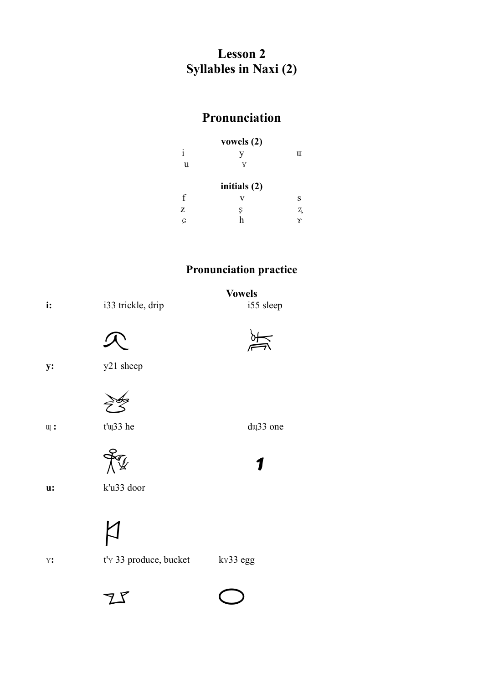## **Lesson 2 Syllables in Naxi (2)**

## **Pronunciation**

|   | vowels $(2)$ |    |
|---|--------------|----|
| i | V            | Ш  |
| u | Y            |    |
|   | initials (2) |    |
| f | v            | S  |
| Z | Ş            | Z. |
| Ç |              | γ  |

## **Pronunciation practice**

| i:               | i33 trickle, drip      | <b>Vowels</b><br>i55 sleep |
|------------------|------------------------|----------------------------|
|                  |                        |                            |
| y:               | y21 sheep              |                            |
|                  |                        |                            |
| $\mathfrak{u}$ : | t'u33 he               | du <sub>33</sub> one       |
|                  |                        |                            |
| u:               | k'u33 door             |                            |
|                  |                        |                            |
| $Y$ :            | t'v 33 produce, bucket | kv33 egg                   |

 $Zf$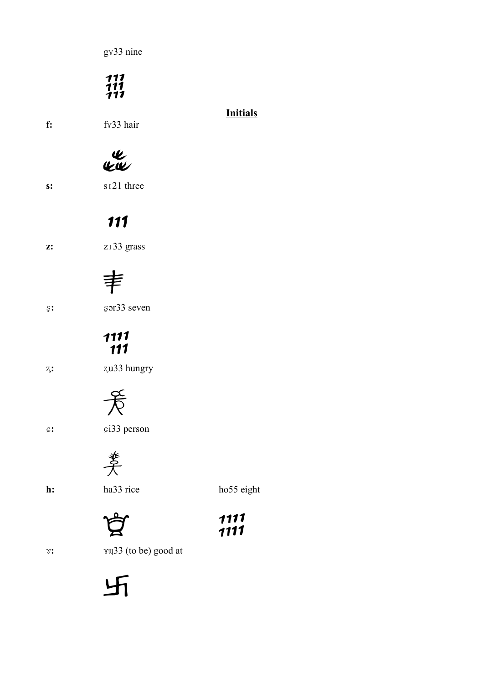g v 33 nine

 $\frac{111}{111}$ 

### **Initials**

**f:** fx33 hair

IL<br>KW

s:  $s<sub>121</sub>$  three

## 111

**z:**  $z_133$  grass

# 丰

ʂ**:** ʂər33 seven

# 1111<br>111

ʐ**:** ʐu33 hungry

 $\frac{1}{\sqrt{2}}$ 



ɕ**:** ɕi33 person

姜

h: ha33 rice ho55 eight



ɤ**:** ɤɰ33 (to be) good at

卐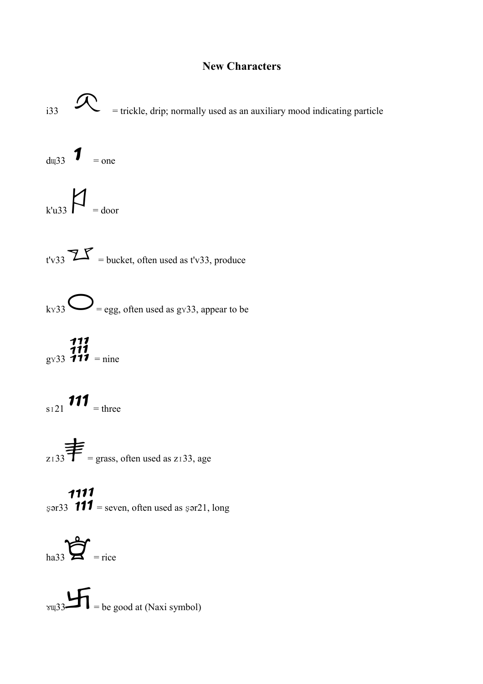#### **New Characters**



**1111**<br> $\text{Sər33}$  **111** = seven, often used as  $\text{Sər21}$ , long

ha33 $\sum_{\text{trace}}$ 

 $\sqrt{2\pi}$  = be good at (Naxi symbol)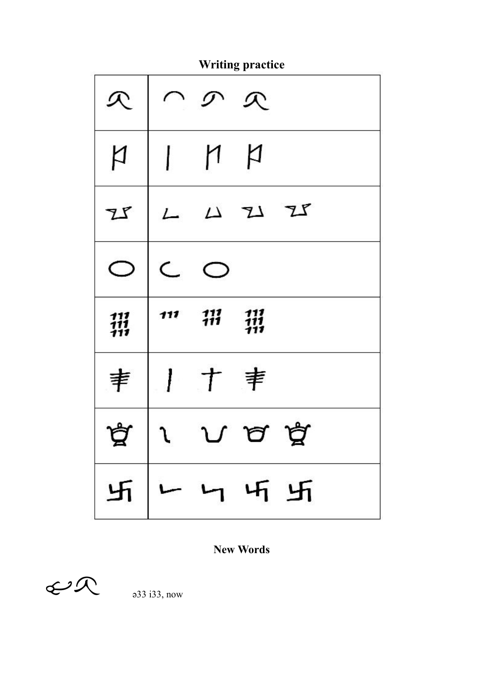**Writing practice** 

|            | $\curvearrowright$        | の          | $\mathcal{R}$             |   |
|------------|---------------------------|------------|---------------------------|---|
| þ          |                           | $\vert$ n  | þ                         |   |
| I          | L                         | $\Delta$   | Z Z                       |   |
|            | $\subset$                 |            |                           |   |
|            |                           |            | -111                      |   |
| 111<br>111 | 111                       | 111<br>111 | 111<br>$\dot{\mathbf{1}}$ |   |
| 宯          | $\mathbf{I}^{\mathbf{r}}$ | $\tau$     | 丰                         |   |
| ≍          |                           | ℩ℐ         |                           | ≍ |

**New Words** 

 $C2$ 

 $a33$  i33, now